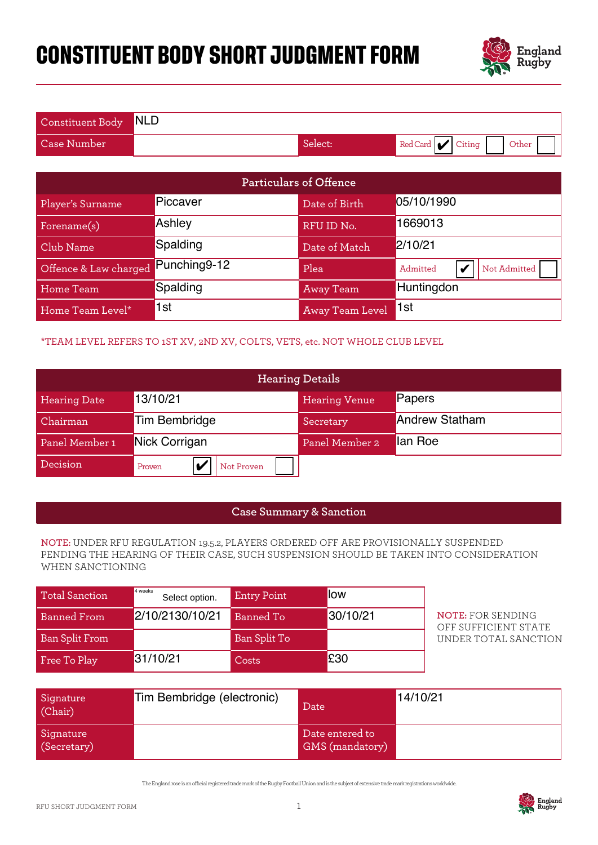# **CONSTITUENT BODY SHORT JUDGMENT FORM**



| Constituent Body NLD |         |                              |
|----------------------|---------|------------------------------|
| <b>Case Number</b>   | Select: | Red Card $ $ Citing<br>Other |

| Particulars of Offence                                                                                                                                                                          |                                                                              |                    |                        |                                                  |  |
|-------------------------------------------------------------------------------------------------------------------------------------------------------------------------------------------------|------------------------------------------------------------------------------|--------------------|------------------------|--------------------------------------------------|--|
| Player's Surname                                                                                                                                                                                | Piccaver                                                                     |                    | Date of Birth          | 05/10/1990                                       |  |
| Forename(s)                                                                                                                                                                                     | Ashley                                                                       |                    | RFU ID No.             | 1669013                                          |  |
| Club Name                                                                                                                                                                                       | Spalding                                                                     |                    | Date of Match          | 2/10/21                                          |  |
| Offence & Law charged                                                                                                                                                                           | Punching9-12                                                                 |                    | Plea                   | Admitted<br>V<br>Not Admitted                    |  |
| Home Team                                                                                                                                                                                       | Spalding                                                                     |                    | <b>Away Team</b>       | Huntingdon                                       |  |
| Home Team Level*                                                                                                                                                                                | 1st                                                                          |                    | <b>Away Team Level</b> | 1st                                              |  |
|                                                                                                                                                                                                 | *TEAM LEVEL REFERS TO 1ST XV, 2ND XV, COLTS, VETS, etc. NOT WHOLE CLUB LEVEL |                    |                        |                                                  |  |
|                                                                                                                                                                                                 |                                                                              |                    | <b>Hearing Details</b> |                                                  |  |
| <b>Hearing Date</b>                                                                                                                                                                             | 13/10/21                                                                     |                    | <b>Hearing Venue</b>   | Papers                                           |  |
| Chairman                                                                                                                                                                                        | <b>Tim Bembridge</b>                                                         |                    | Secretary              | <b>Andrew Statham</b>                            |  |
| Panel Member 1                                                                                                                                                                                  | Nick Corrigan                                                                |                    | Panel Member 2         | lan Roe                                          |  |
| Decision                                                                                                                                                                                        | $\mathbf v$<br>Proven                                                        | Not Proven         |                        |                                                  |  |
|                                                                                                                                                                                                 |                                                                              |                    |                        |                                                  |  |
| <b>Case Summary &amp; Sanction</b>                                                                                                                                                              |                                                                              |                    |                        |                                                  |  |
| NOTE: UNDER RFU REGULATION 19.5.2, PLAYERS ORDERED OFF ARE PROVISIONALLY SUSPENDED<br>PENDING THE HEARING OF THEIR CASE, SUCH SUSPENSION SHOULD BE TAKEN INTO CONSIDERATION<br>WHEN SANCTIONING |                                                                              |                    |                        |                                                  |  |
| <b>Total Sanction</b>                                                                                                                                                                           | 4 weeks<br>Select option.                                                    | <b>Entry Point</b> | low                    |                                                  |  |
| <b>Banned From</b>                                                                                                                                                                              | 2/10/2130/10/21                                                              | <b>Banned To</b>   | 30/10/21               | <b>NOTE: FOR SENDING</b><br>OFF SUFFICIENT STATE |  |
| <b>Ban Split From</b>                                                                                                                                                                           |                                                                              | Ban Split To       |                        | UNDER TOTAL SANCTION                             |  |
| Free To Play                                                                                                                                                                                    | 31/10/21                                                                     | Costs              | £30                    |                                                  |  |

### \*TEAM LEVEL REFERS TO 1ST XV, 2ND XV, COLTS, VETS, etc. NOT WHOLE CLUB LEVEL

| <b>Hearing Details</b> |                      |                      |                       |
|------------------------|----------------------|----------------------|-----------------------|
| <b>Hearing Date</b>    | 13/10/21             | <b>Hearing Venue</b> | Papers                |
| Chairman               | Tim Bembridge        | Secretary            | <b>Andrew Statham</b> |
| Panel Member 1         | Nick Corrigan        | Panel Member 2       | lan Roe               |
| Decision               | Not Proven<br>Proven |                      |                       |

#### **Case Summary & Sanction**

#### **NOTE:** UNDER RFU REGULATION 19.5.2, PLAYERS ORDERED OFF ARE PROVISIONALLY SUSPENDED PENDING THE HEARING OF THEIR CASE, SUCH SUSPENSION SHOULD BE TAKEN INTO CONSIDERATION WHEN SANCTIONING

| <b>Total Sanction</b> | 4 weeks<br>Select option. | <b>Entry Point</b> | llow     |
|-----------------------|---------------------------|--------------------|----------|
| <b>Banned From</b>    | 2/10/2130/10/21           | Banned To          | 30/10/21 |
| <b>Ban Split From</b> |                           | Ban Split To       |          |
| Free To Play          | 31/10/21                  | Costs              | £30      |

| Signature<br>(Chair)     | Tim Bembridge (electronic) | Date                               | 14/10/21 |
|--------------------------|----------------------------|------------------------------------|----------|
| Signature<br>(Secretary) |                            | Date entered to<br>GMS (mandatory) |          |

The England rose is an ocial registered trade mark of the Rugby Football Union and is the subject of extensive trade mark registrations worldwide.

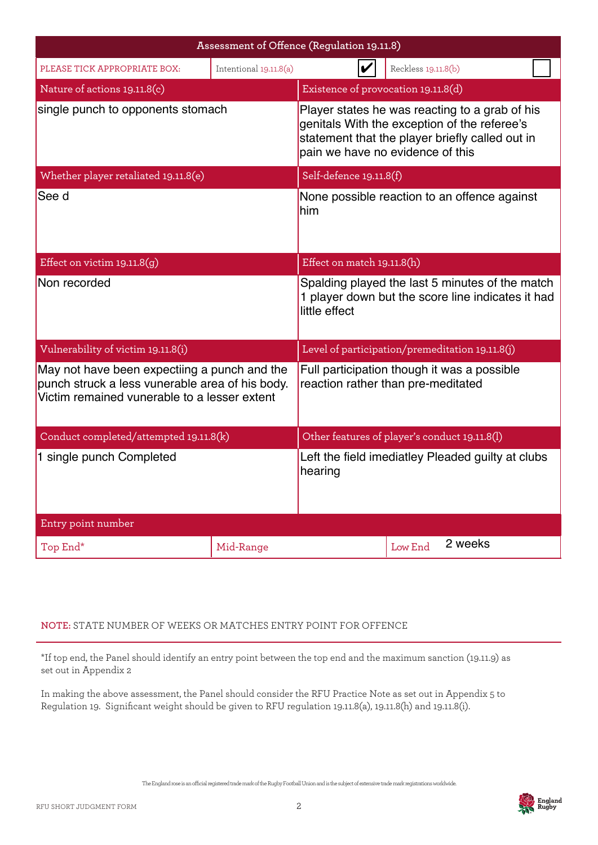|                                                                                                                                                 |                        | Assessment of Offence (Regulation 19.11.8)                                                                                                                                            |                     |  |
|-------------------------------------------------------------------------------------------------------------------------------------------------|------------------------|---------------------------------------------------------------------------------------------------------------------------------------------------------------------------------------|---------------------|--|
| PLEASE TICK APPROPRIATE BOX:                                                                                                                    | Intentional 19.11.8(a) |                                                                                                                                                                                       | Reckless 19.11.8(b) |  |
| Nature of actions 19.11.8(c)                                                                                                                    |                        | Existence of provocation 19.11.8(d)                                                                                                                                                   |                     |  |
| single punch to opponents stomach                                                                                                               |                        | Player states he was reacting to a grab of his<br>genitals With the exception of the referee's<br>statement that the player briefly called out in<br>pain we have no evidence of this |                     |  |
| Whether player retaliated 19.11.8(e)                                                                                                            |                        | Self-defence 19.11.8(f)                                                                                                                                                               |                     |  |
| See d                                                                                                                                           |                        | None possible reaction to an offence against<br><b>l</b> him                                                                                                                          |                     |  |
| Effect on victim $19.11.8(g)$                                                                                                                   |                        | Effect on match 19.11.8(h)                                                                                                                                                            |                     |  |
| Non recorded                                                                                                                                    |                        | Spalding played the last 5 minutes of the match<br>1 player down but the score line indicates it had<br>little effect                                                                 |                     |  |
| Vulnerability of victim 19.11.8(i)                                                                                                              |                        | Level of participation/premeditation 19.11.8(j)                                                                                                                                       |                     |  |
| May not have been expectiing a punch and the<br>punch struck a less vunerable area of his body.<br>Victim remained vunerable to a lesser extent |                        | Full participation though it was a possible<br>reaction rather than pre-meditated                                                                                                     |                     |  |
| Conduct completed/attempted 19.11.8(k)                                                                                                          |                        | Other features of player's conduct 19.11.8(l)                                                                                                                                         |                     |  |
| 1 single punch Completed                                                                                                                        |                        | Left the field imediatley Pleaded guilty at clubs<br>hearing                                                                                                                          |                     |  |
| Entry point number                                                                                                                              |                        |                                                                                                                                                                                       |                     |  |
| Top End*                                                                                                                                        | Mid-Range              |                                                                                                                                                                                       | 2 weeks<br>Low End  |  |

## **NOTE:** STATE NUMBER OF WEEKS OR MATCHES ENTRY POINT FOR OFFENCE

\*If top end, the Panel should identify an entry point between the top end and the maximum sanction (19.11.9) as set out in Appendix 2

In making the above assessment, the Panel should consider the RFU Practice Note as set out in Appendix 5 to Regulation 19. Significant weight should be given to RFU regulation 19.11.8(a), 19.11.8(h) and 19.11.8(i).

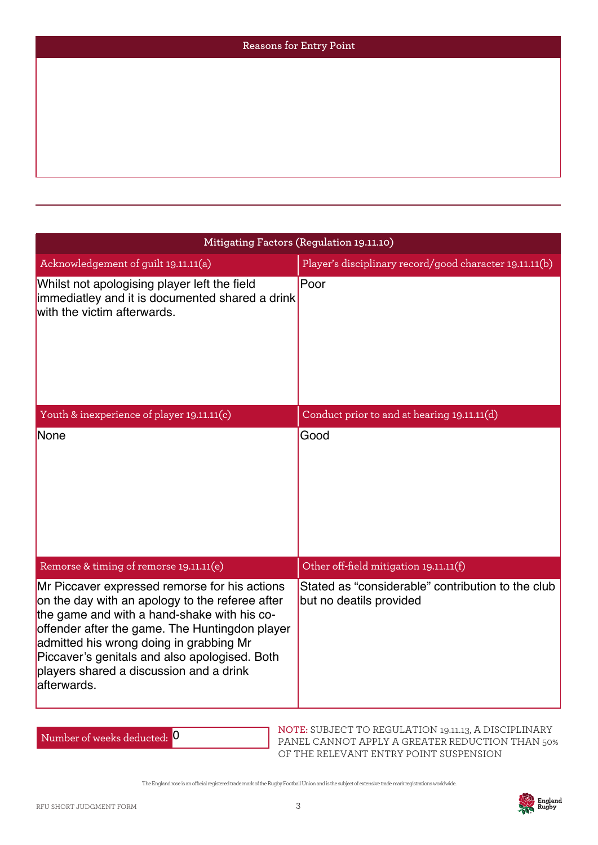| Reasons for Entry Point |
|-------------------------|
|                         |
|                         |
|                         |
|                         |
|                         |

| Mitigating Factors (Regulation 19.11.10)                                                                                                                                                                                                                                                                                                                |                                                                              |  |  |
|---------------------------------------------------------------------------------------------------------------------------------------------------------------------------------------------------------------------------------------------------------------------------------------------------------------------------------------------------------|------------------------------------------------------------------------------|--|--|
| Acknowledgement of guilt 19.11.11(a)                                                                                                                                                                                                                                                                                                                    | Player's disciplinary record/good character 19.11.11(b)                      |  |  |
| Whilst not apologising player left the field<br>immediatley and it is documented shared a drink<br>with the victim afterwards.                                                                                                                                                                                                                          | Poor                                                                         |  |  |
| Youth & inexperience of player 19.11.11(c)                                                                                                                                                                                                                                                                                                              | Conduct prior to and at hearing 19.11.11(d)                                  |  |  |
| None                                                                                                                                                                                                                                                                                                                                                    | Good                                                                         |  |  |
| Remorse & timing of remorse 19.11.11(e)                                                                                                                                                                                                                                                                                                                 | Other off-field mitigation 19.11.11(f)                                       |  |  |
| Mr Piccaver expressed remorse for his actions<br>on the day with an apology to the referee after<br>the game and with a hand-shake with his co-<br>offender after the game. The Huntingdon player<br>admitted his wrong doing in grabbing Mr<br>Piccaver's genitals and also apologised. Both<br>players shared a discussion and a drink<br>afterwards. | Stated as "considerable" contribution to the club<br>but no deatils provided |  |  |

Number of weeks deducted: 0

**NOTE:** SUBJECT TO REGULATION 19.11.13, A DISCIPLINARY PANEL CANNOT APPLY A GREATER REDUCTION THAN 50% OF THE RELEVANT ENTRY POINT SUSPENSION

The England rose is an ocial registered trade mark of the Rugby Football Union and is the subject of extensive trade mark registrations worldwide.